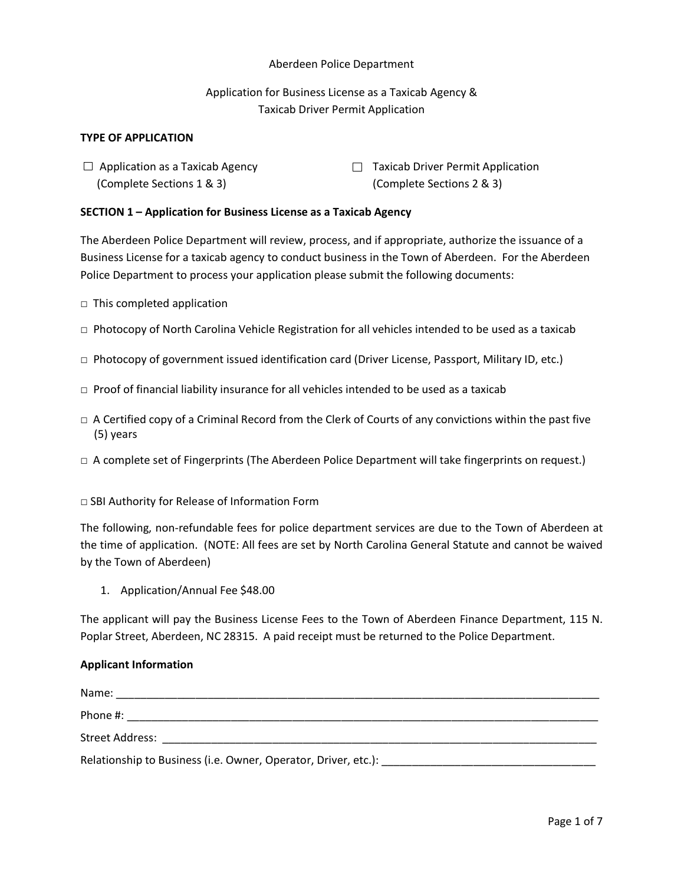#### Aberdeen Police Department

## Application for Business License as a Taxicab Agency & Taxicab Driver Permit Application

#### **TYPE OF APPLICATION**

- (Complete Sections 1 & 3) (Complete Sections 2 & 3)
- $\Box$  Application as a Taxicab Agency  $\Box$  Taxicab Driver Permit Application

#### **SECTION 1 – Application for Business License as a Taxicab Agency**

The Aberdeen Police Department will review, process, and if appropriate, authorize the issuance of a Business License for a taxicab agency to conduct business in the Town of Aberdeen. For the Aberdeen Police Department to process your application please submit the following documents:

- $\Box$  This completed application
- $\Box$  Photocopy of North Carolina Vehicle Registration for all vehicles intended to be used as a taxicab
- □ Photocopy of government issued identification card (Driver License, Passport, Military ID, etc.)
- $\square$  Proof of financial liability insurance for all vehicles intended to be used as a taxicab
- $\Box$  A Certified copy of a Criminal Record from the Clerk of Courts of any convictions within the past five (5) years
- □ A complete set of Fingerprints (The Aberdeen Police Department will take fingerprints on request.)
- □ SBI Authority for Release of Information Form

The following, non-refundable fees for police department services are due to the Town of Aberdeen at the time of application. (NOTE: All fees are set by North Carolina General Statute and cannot be waived by the Town of Aberdeen)

1. Application/Annual Fee \$48.00

The applicant will pay the Business License Fees to the Town of Aberdeen Finance Department, 115 N. Poplar Street, Aberdeen, NC 28315. A paid receipt must be returned to the Police Department.

#### **Applicant Information**

| Name:                                                          |  |
|----------------------------------------------------------------|--|
| Phone #:                                                       |  |
| Street Address:                                                |  |
| Relationship to Business (i.e. Owner, Operator, Driver, etc.): |  |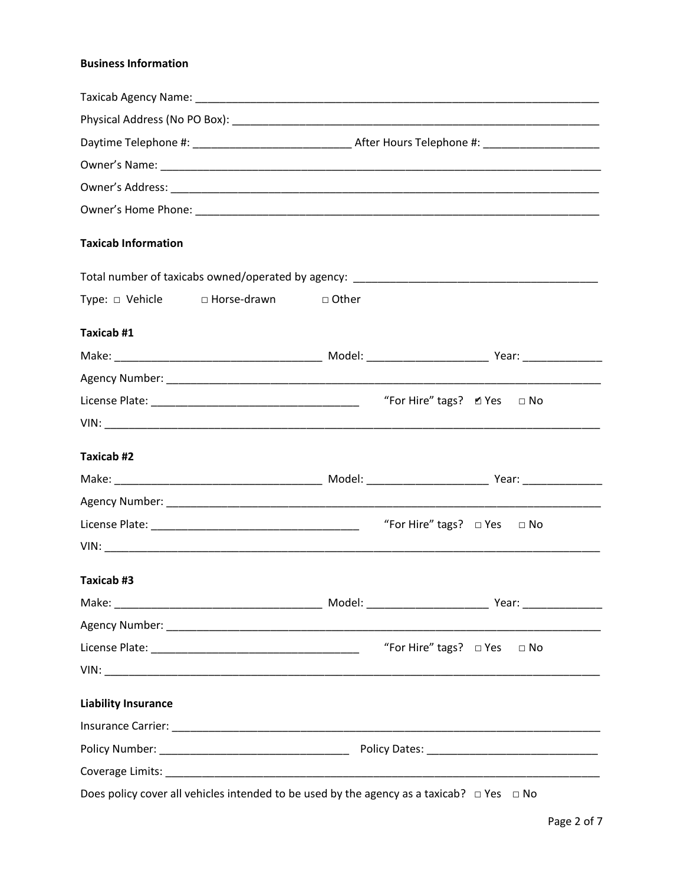## **Business Information**

| <b>Taxicab Information</b> |                               |         |                                                  |  |
|----------------------------|-------------------------------|---------|--------------------------------------------------|--|
|                            |                               |         |                                                  |  |
|                            | Type: □ Vehicle □ Horse-drawn | □ Other |                                                  |  |
| Taxicab #1                 |                               |         |                                                  |  |
|                            |                               |         |                                                  |  |
|                            |                               |         |                                                  |  |
|                            |                               |         | "For Hire" tags? $\blacksquare$ Yes $\square$ No |  |
|                            |                               |         |                                                  |  |
| Taxicab #2                 |                               |         |                                                  |  |
|                            |                               |         |                                                  |  |
|                            |                               |         |                                                  |  |
|                            |                               |         | "For Hire" tags? $\Box$ Yes $\Box$ No            |  |
|                            |                               |         |                                                  |  |
| Taxicab #3                 |                               |         |                                                  |  |
|                            |                               |         |                                                  |  |
|                            |                               |         |                                                  |  |
|                            |                               |         | "For Hire" tags? $\Box$ Yes $\Box$ No            |  |
|                            |                               |         |                                                  |  |
| <b>Liability Insurance</b> |                               |         |                                                  |  |
|                            |                               |         |                                                  |  |
|                            |                               |         |                                                  |  |
|                            |                               |         |                                                  |  |
|                            |                               |         |                                                  |  |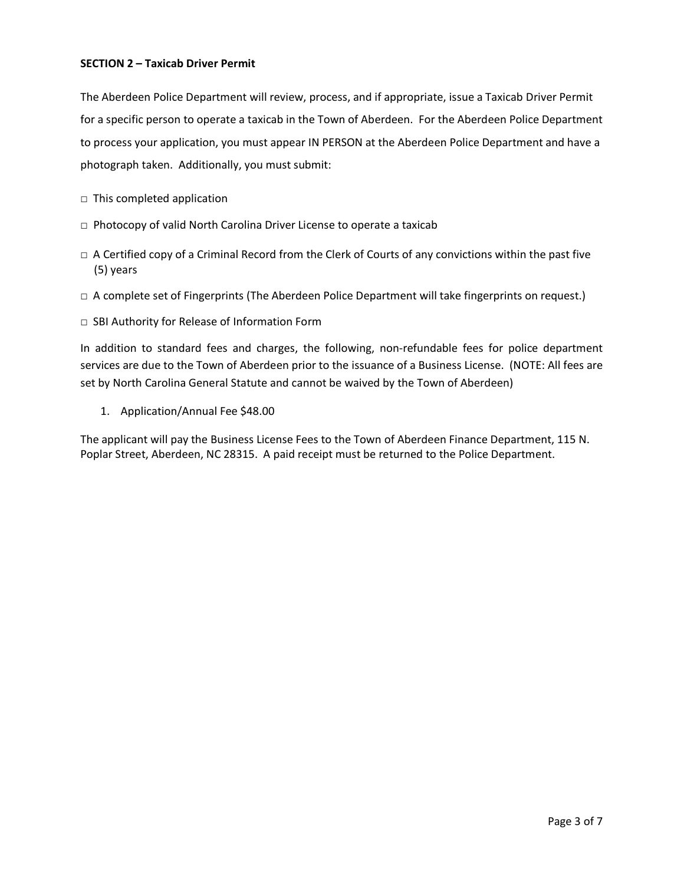#### **SECTION 2 – Taxicab Driver Permit**

The Aberdeen Police Department will review, process, and if appropriate, issue a Taxicab Driver Permit for a specific person to operate a taxicab in the Town of Aberdeen. For the Aberdeen Police Department to process your application, you must appear IN PERSON at the Aberdeen Police Department and have a photograph taken. Additionally, you must submit:

- □ This completed application
- □ Photocopy of valid North Carolina Driver License to operate a taxicab
- $\Box$  A Certified copy of a Criminal Record from the Clerk of Courts of any convictions within the past five (5) years
- □ A complete set of Fingerprints (The Aberdeen Police Department will take fingerprints on request.)
- □ SBI Authority for Release of Information Form

In addition to standard fees and charges, the following, non-refundable fees for police department services are due to the Town of Aberdeen prior to the issuance of a Business License. (NOTE: All fees are set by North Carolina General Statute and cannot be waived by the Town of Aberdeen)

1. Application/Annual Fee \$48.00

The applicant will pay the Business License Fees to the Town of Aberdeen Finance Department, 115 N. Poplar Street, Aberdeen, NC 28315. A paid receipt must be returned to the Police Department.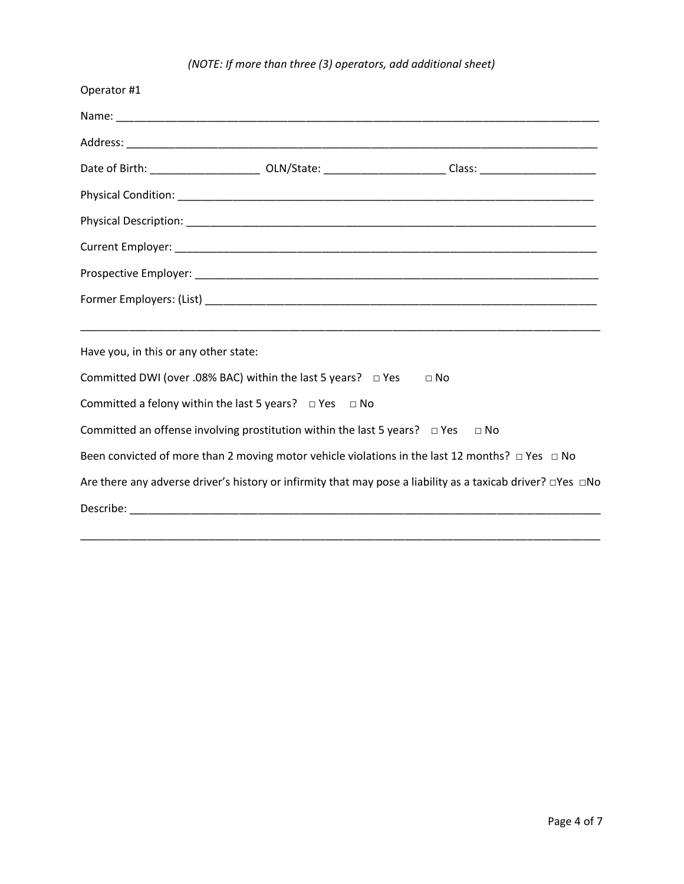# *(NOTE: If more than three (3) operators, add additional sheet)*

| Operator #1                                                                                                                   |           |           |
|-------------------------------------------------------------------------------------------------------------------------------|-----------|-----------|
|                                                                                                                               |           |           |
|                                                                                                                               |           |           |
| Date of Birth: ___________________________ OLN/State: _________________________Class: ________________________                |           |           |
|                                                                                                                               |           |           |
|                                                                                                                               |           |           |
|                                                                                                                               |           |           |
|                                                                                                                               |           |           |
|                                                                                                                               |           |           |
|                                                                                                                               |           |           |
| Have you, in this or any other state:                                                                                         |           |           |
| Committed DWI (over .08% BAC) within the last 5 years? $\Box$ Yes                                                             | $\Box$ No |           |
| Committed a felony within the last 5 years? $\Box$ Yes $\Box$ No                                                              |           |           |
| Committed an offense involving prostitution within the last 5 years? $\Box$ Yes                                               |           | $\Box$ No |
| Been convicted of more than 2 moving motor vehicle violations in the last 12 months? $\Box$ Yes $\Box$ No                     |           |           |
| Are there any adverse driver's history or infirmity that may pose a liability as a taxicab driver? $\square$ Yes $\square$ No |           |           |
|                                                                                                                               |           |           |

\_\_\_\_\_\_\_\_\_\_\_\_\_\_\_\_\_\_\_\_\_\_\_\_\_\_\_\_\_\_\_\_\_\_\_\_\_\_\_\_\_\_\_\_\_\_\_\_\_\_\_\_\_\_\_\_\_\_\_\_\_\_\_\_\_\_\_\_\_\_\_\_\_\_\_\_\_\_\_\_\_\_\_\_\_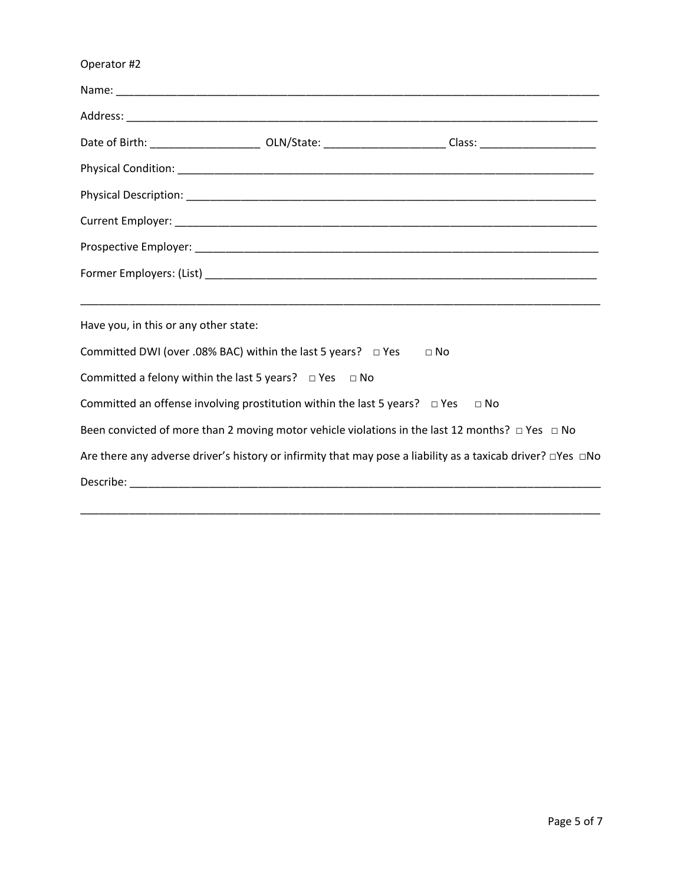| Operator #2                                                                               |                                                                                                                         |
|-------------------------------------------------------------------------------------------|-------------------------------------------------------------------------------------------------------------------------|
|                                                                                           |                                                                                                                         |
|                                                                                           |                                                                                                                         |
|                                                                                           | Date of Birth: ___________________________ OLN/State: _________________________Class: ________________________          |
|                                                                                           |                                                                                                                         |
|                                                                                           |                                                                                                                         |
|                                                                                           |                                                                                                                         |
|                                                                                           |                                                                                                                         |
|                                                                                           |                                                                                                                         |
| Have you, in this or any other state:                                                     |                                                                                                                         |
| Committed DWI (over .08% BAC) within the last 5 years? $\Box$ Yes                         | $\Box$ No                                                                                                               |
| Committed a felony within the last 5 years? $\Box$ Yes $\Box$ No                          |                                                                                                                         |
| Committed an offense involving prostitution within the last 5 years? $\Box$ Yes $\Box$ No |                                                                                                                         |
|                                                                                           | Been convicted of more than 2 moving motor vehicle violations in the last 12 months? $\Box$ Yes $\Box$ No               |
|                                                                                           | Are there any adverse driver's history or infirmity that may pose a liability as a taxicab driver? $\Box$ Yes $\Box$ No |
|                                                                                           |                                                                                                                         |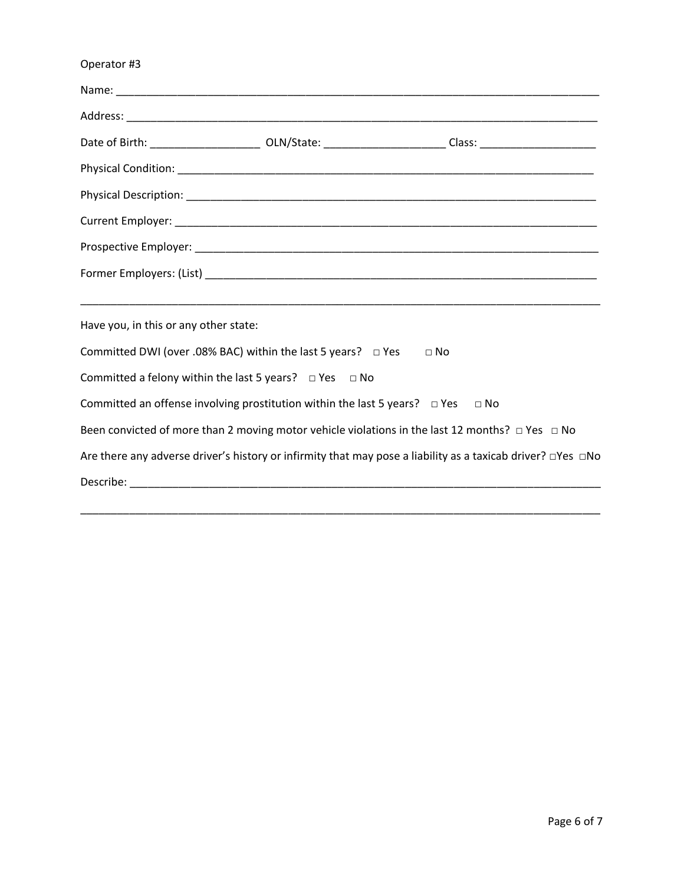| Operator #3                                                                                                             |           |
|-------------------------------------------------------------------------------------------------------------------------|-----------|
|                                                                                                                         |           |
|                                                                                                                         |           |
| Date of Birth: ___________________________ OLN/State: _________________________Class: ________________________          |           |
|                                                                                                                         |           |
|                                                                                                                         |           |
|                                                                                                                         |           |
|                                                                                                                         |           |
|                                                                                                                         |           |
| Have you, in this or any other state:                                                                                   |           |
| Committed DWI (over .08% BAC) within the last 5 years? $\Box$ Yes                                                       | $\Box$ No |
| Committed a felony within the last 5 years? $\Box$ Yes $\Box$ No                                                        |           |
| Committed an offense involving prostitution within the last 5 years? $\Box$ Yes $\Box$ No                               |           |
| Been convicted of more than 2 moving motor vehicle violations in the last 12 months? $\Box$ Yes $\Box$ No               |           |
| Are there any adverse driver's history or infirmity that may pose a liability as a taxicab driver? $\Box$ Yes $\Box$ No |           |
|                                                                                                                         |           |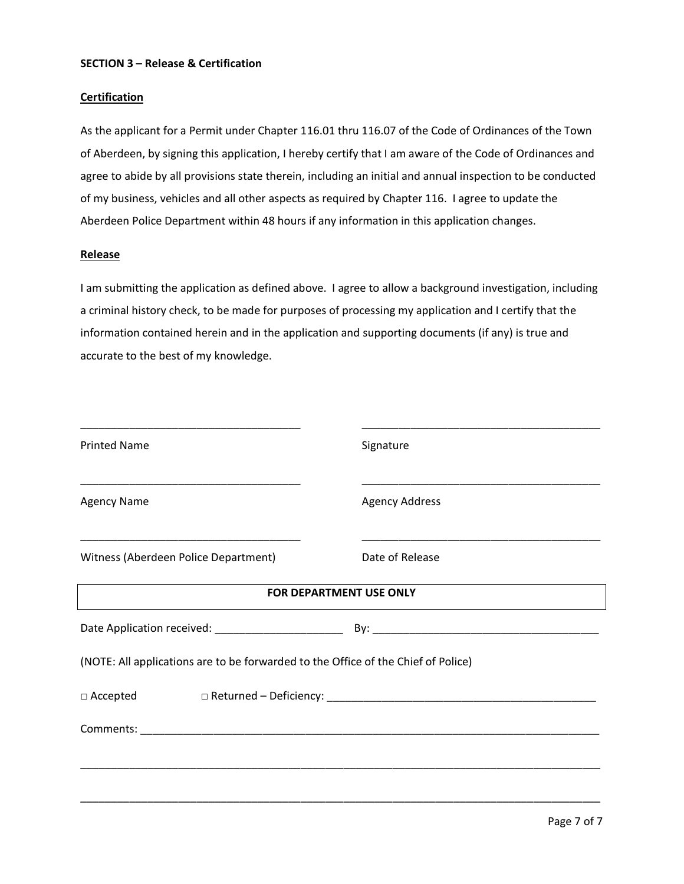#### **SECTION 3 – Release & Certification**

#### **Certification**

As the applicant for a Permit under Chapter 116.01 thru 116.07 of the Code of Ordinances of the Town of Aberdeen, by signing this application, I hereby certify that I am aware of the Code of Ordinances and agree to abide by all provisions state therein, including an initial and annual inspection to be conducted of my business, vehicles and all other aspects as required by Chapter 116. I agree to update the Aberdeen Police Department within 48 hours if any information in this application changes.

#### **Release**

I am submitting the application as defined above. I agree to allow a background investigation, including a criminal history check, to be made for purposes of processing my application and I certify that the information contained herein and in the application and supporting documents (if any) is true and accurate to the best of my knowledge.

| <b>Printed Name</b>                                                                          | Signature             |
|----------------------------------------------------------------------------------------------|-----------------------|
| <b>Agency Name</b>                                                                           | <b>Agency Address</b> |
| <u> 1990 - Johann John Stone, mars et al. (1991)</u><br>Witness (Aberdeen Police Department) | Date of Release       |
| FOR DEPARTMENT USE ONLY                                                                      |                       |
|                                                                                              |                       |
| (NOTE: All applications are to be forwarded to the Office of the Chief of Police)            |                       |
|                                                                                              |                       |
|                                                                                              |                       |
|                                                                                              |                       |
|                                                                                              |                       |
|                                                                                              |                       |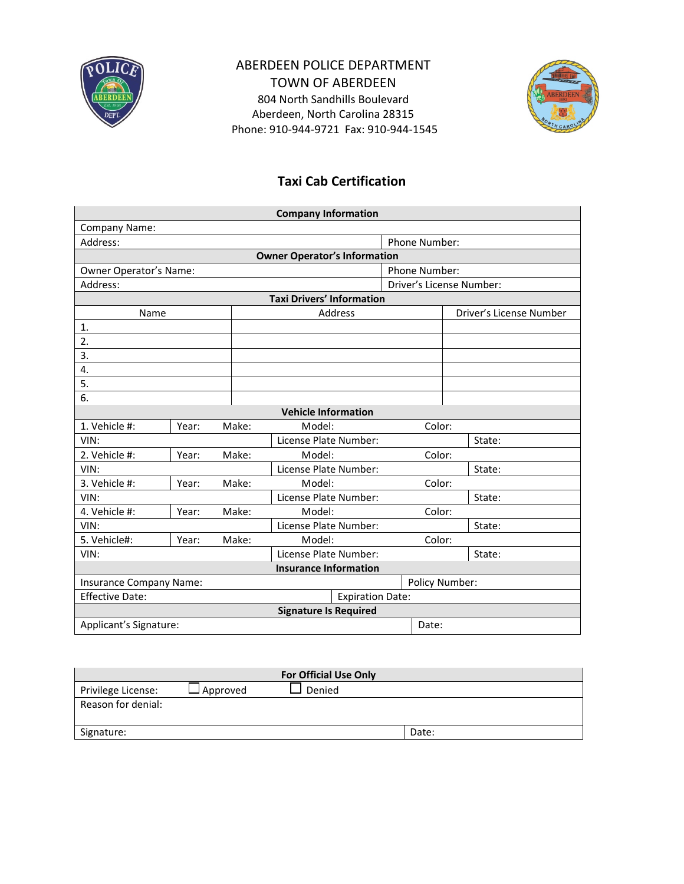

# ABERDEEN POLICE DEPARTMENT TOWN OF ABERDEEN

804 North Sandhills Boulevard Aberdeen, North Carolina 28315 Phone: 910-944-9721 Fax: 910-944-1545



# **Taxi Cab Certification**

| <b>Company Information</b>                        |       |       |                                     |               |                          |        |  |
|---------------------------------------------------|-------|-------|-------------------------------------|---------------|--------------------------|--------|--|
| Company Name:                                     |       |       |                                     |               |                          |        |  |
| Address:                                          |       |       |                                     | Phone Number: |                          |        |  |
|                                                   |       |       | <b>Owner Operator's Information</b> |               |                          |        |  |
| Owner Operator's Name:                            |       |       |                                     |               | <b>Phone Number:</b>     |        |  |
| Address:                                          |       |       |                                     |               | Driver's License Number: |        |  |
|                                                   |       |       | <b>Taxi Drivers' Information</b>    |               |                          |        |  |
| Name                                              |       |       | <b>Address</b>                      |               | Driver's License Number  |        |  |
| 1.                                                |       |       |                                     |               |                          |        |  |
| 2.                                                |       |       |                                     |               |                          |        |  |
| 3.                                                |       |       |                                     |               |                          |        |  |
| 4.                                                |       |       |                                     |               |                          |        |  |
| 5.                                                |       |       |                                     |               |                          |        |  |
| 6.                                                |       |       |                                     |               |                          |        |  |
|                                                   |       |       | <b>Vehicle Information</b>          |               |                          |        |  |
| 1. Vehicle #:                                     | Year: | Make: | Model:                              |               | Color:                   |        |  |
| VIN:                                              |       |       | License Plate Number:               |               |                          | State: |  |
| 2. Vehicle #:                                     | Year: | Make: | Model:                              |               | Color:                   |        |  |
| VIN:                                              |       |       | License Plate Number:               |               |                          | State: |  |
| 3. Vehicle #:                                     | Year: | Make: | Model:                              |               | Color:                   |        |  |
| VIN:                                              |       |       | License Plate Number:               |               |                          | State: |  |
| 4. Vehicle #:                                     | Year: | Make: | Model:                              |               | Color:                   |        |  |
| VIN:                                              |       |       | License Plate Number:               |               |                          | State: |  |
| 5. Vehicle#:                                      | Year: | Make: | Model:                              |               | Color:                   |        |  |
| VIN:                                              |       |       | License Plate Number:               |               |                          | State: |  |
| <b>Insurance Information</b>                      |       |       |                                     |               |                          |        |  |
| Policy Number:<br>Insurance Company Name:         |       |       |                                     |               |                          |        |  |
| <b>Effective Date:</b><br><b>Expiration Date:</b> |       |       |                                     |               |                          |        |  |
| <b>Signature Is Required</b>                      |       |       |                                     |               |                          |        |  |
| Applicant's Signature:                            |       |       |                                     |               | Date:                    |        |  |

| <b>For Official Use Only</b> |            |        |       |  |
|------------------------------|------------|--------|-------|--|
| Privilege License:           | l Approved | Denied |       |  |
| Reason for denial:           |            |        |       |  |
|                              |            |        |       |  |
| Signature:                   |            |        | Date: |  |